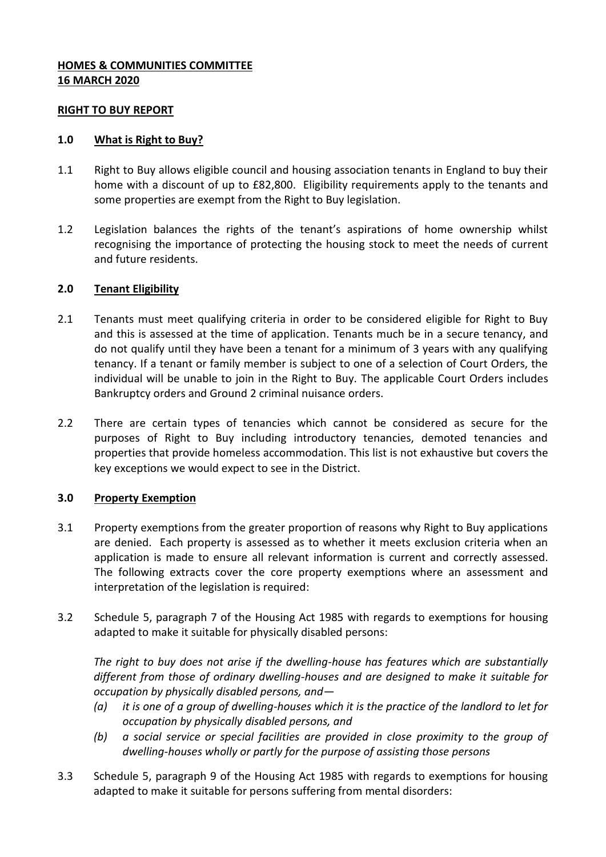## **HOMES & COMMUNITIES COMMITTEE 16 MARCH 2020**

#### **RIGHT TO BUY REPORT**

#### **1.0 What is Right to Buy?**

- 1.1 Right to Buy allows eligible council and housing association tenants in England to buy their home with a discount of up to £82,800. Eligibility requirements apply to the tenants and some properties are exempt from the Right to Buy legislation.
- 1.2 Legislation balances the rights of the tenant's aspirations of home ownership whilst recognising the importance of protecting the housing stock to meet the needs of current and future residents.

### **2.0 Tenant Eligibility**

- 2.1 Tenants must meet qualifying criteria in order to be considered eligible for Right to Buy and this is assessed at the time of application. Tenants much be in a secure tenancy, and do not qualify until they have been a tenant for a minimum of 3 years with any qualifying tenancy. If a tenant or family member is subject to one of a selection of Court Orders, the individual will be unable to join in the Right to Buy. The applicable Court Orders includes Bankruptcy orders and Ground 2 criminal nuisance orders.
- 2.2 There are certain types of tenancies which cannot be considered as secure for the purposes of Right to Buy including introductory tenancies, demoted tenancies and properties that provide homeless accommodation. This list is not exhaustive but covers the key exceptions we would expect to see in the District.

### **3.0 Property Exemption**

- 3.1 Property exemptions from the greater proportion of reasons why Right to Buy applications are denied. Each property is assessed as to whether it meets exclusion criteria when an application is made to ensure all relevant information is current and correctly assessed. The following extracts cover the core property exemptions where an assessment and interpretation of the legislation is required:
- 3.2 Schedule 5, paragraph 7 of the Housing Act 1985 with regards to exemptions for housing adapted to make it suitable for physically disabled persons:

*The right to buy does not arise if the dwelling-house has features which are substantially different from those of ordinary dwelling-houses and are designed to make it suitable for occupation by physically disabled persons, and—*

- *(a) it is one of a group of dwelling-houses which it is the practice of the landlord to let for occupation by physically disabled persons, and*
- *(b) a social service or special facilities are provided in close proximity to the group of dwelling-houses wholly or partly for the purpose of assisting those persons*
- 3.3 Schedule 5, paragraph 9 of the Housing Act 1985 with regards to exemptions for housing adapted to make it suitable for persons suffering from mental disorders: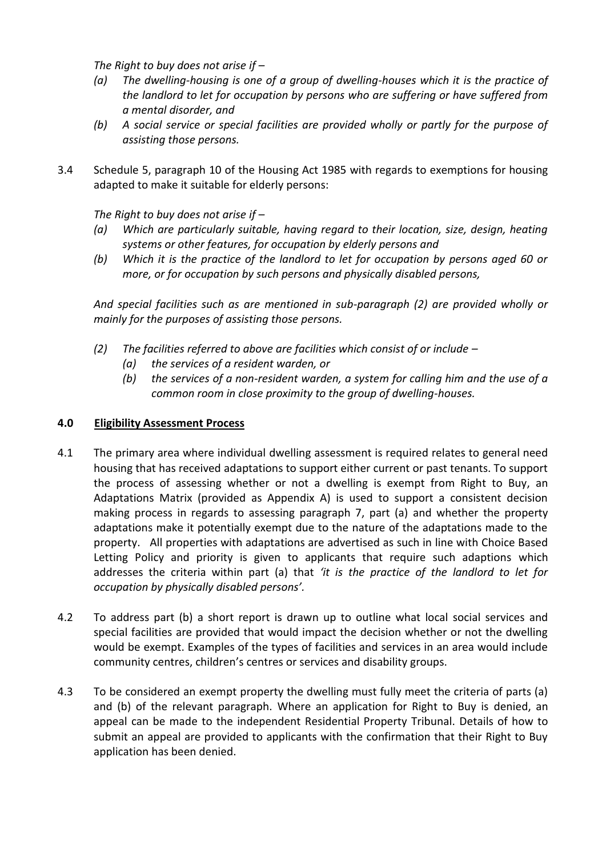*The Right to buy does not arise if –*

- *(a) The dwelling-housing is one of a group of dwelling-houses which it is the practice of the landlord to let for occupation by persons who are suffering or have suffered from a mental disorder, and*
- *(b) A social service or special facilities are provided wholly or partly for the purpose of assisting those persons.*
- 3.4 Schedule 5, paragraph 10 of the Housing Act 1985 with regards to exemptions for housing adapted to make it suitable for elderly persons:

*The Right to buy does not arise if –*

- *(a) Which are particularly suitable, having regard to their location, size, design, heating systems or other features, for occupation by elderly persons and*
- *(b) Which it is the practice of the landlord to let for occupation by persons aged 60 or more, or for occupation by such persons and physically disabled persons,*

*And special facilities such as are mentioned in sub-paragraph (2) are provided wholly or mainly for the purposes of assisting those persons.*

- *(2) The facilities referred to above are facilities which consist of or include –*
	- *(a) the services of a resident warden, or*
	- *(b) the services of a non-resident warden, a system for calling him and the use of a common room in close proximity to the group of dwelling-houses.*

### **4.0 Eligibility Assessment Process**

- 4.1 The primary area where individual dwelling assessment is required relates to general need housing that has received adaptations to support either current or past tenants. To support the process of assessing whether or not a dwelling is exempt from Right to Buy, an Adaptations Matrix (provided as Appendix A) is used to support a consistent decision making process in regards to assessing paragraph 7, part (a) and whether the property adaptations make it potentially exempt due to the nature of the adaptations made to the property. All properties with adaptations are advertised as such in line with Choice Based Letting Policy and priority is given to applicants that require such adaptions which addresses the criteria within part (a) that *'it is the practice of the landlord to let for occupation by physically disabled persons'.*
- 4.2 To address part (b) a short report is drawn up to outline what local social services and special facilities are provided that would impact the decision whether or not the dwelling would be exempt. Examples of the types of facilities and services in an area would include community centres, children's centres or services and disability groups.
- 4.3 To be considered an exempt property the dwelling must fully meet the criteria of parts (a) and (b) of the relevant paragraph. Where an application for Right to Buy is denied, an appeal can be made to the independent Residential Property Tribunal. Details of how to submit an appeal are provided to applicants with the confirmation that their Right to Buy application has been denied.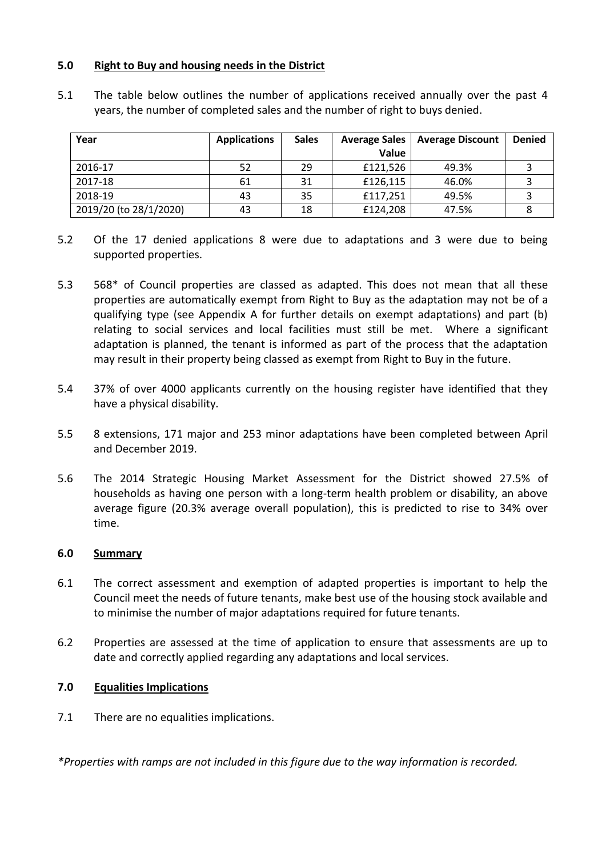## **5.0 Right to Buy and housing needs in the District**

| Year                   | <b>Applications</b> | <b>Sales</b> | <b>Average Sales</b><br>Value | <b>Average Discount</b> | <b>Denied</b> |
|------------------------|---------------------|--------------|-------------------------------|-------------------------|---------------|
| 2016-17                | 52                  | 29           | £121,526                      | 49.3%                   |               |
| 2017-18                | 61                  | 31           | £126,115                      | 46.0%                   |               |
| 2018-19                | 43                  | 35           | £117,251                      | 49.5%                   |               |
| 2019/20 (to 28/1/2020) | 43                  | 18           | £124,208                      | 47.5%                   |               |

5.1 The table below outlines the number of applications received annually over the past 4 years, the number of completed sales and the number of right to buys denied.

- 5.2 Of the 17 denied applications 8 were due to adaptations and 3 were due to being supported properties.
- 5.3 568\* of Council properties are classed as adapted. This does not mean that all these properties are automatically exempt from Right to Buy as the adaptation may not be of a qualifying type (see Appendix A for further details on exempt adaptations) and part (b) relating to social services and local facilities must still be met. Where a significant adaptation is planned, the tenant is informed as part of the process that the adaptation may result in their property being classed as exempt from Right to Buy in the future.
- 5.4 37% of over 4000 applicants currently on the housing register have identified that they have a physical disability.
- 5.5 8 extensions, 171 major and 253 minor adaptations have been completed between April and December 2019.
- 5.6 The 2014 Strategic Housing Market Assessment for the District showed 27.5% of households as having one person with a long-term health problem or disability, an above average figure (20.3% average overall population), this is predicted to rise to 34% over time.

### **6.0 Summary**

- 6.1 The correct assessment and exemption of adapted properties is important to help the Council meet the needs of future tenants, make best use of the housing stock available and to minimise the number of major adaptations required for future tenants.
- 6.2 Properties are assessed at the time of application to ensure that assessments are up to date and correctly applied regarding any adaptations and local services.

# **7.0 Equalities Implications**

7.1 There are no equalities implications.

*\*Properties with ramps are not included in this figure due to the way information is recorded.*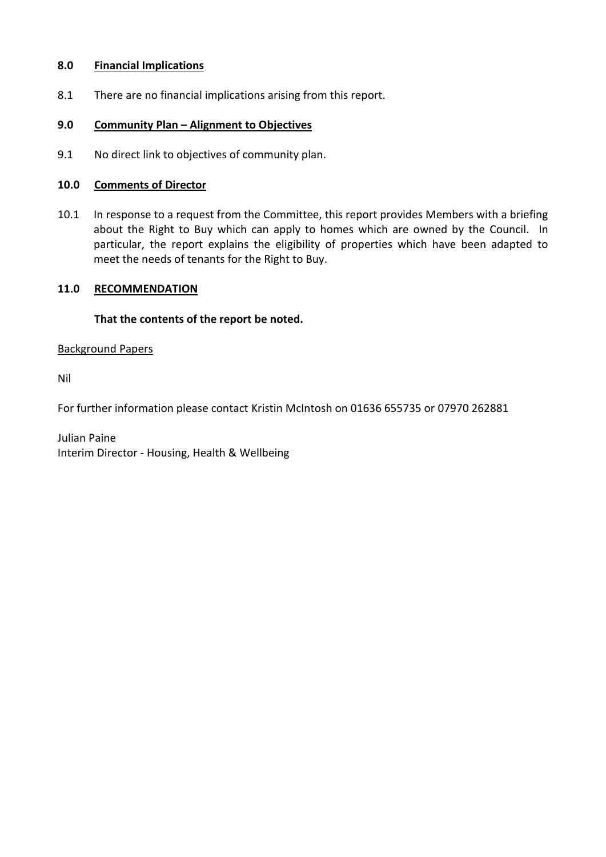## **8.0 Financial Implications**

8.1 There are no financial implications arising from this report.

## **9.0 Community Plan – Alignment to Objectives**

9.1 No direct link to objectives of community plan.

## **10.0 Comments of Director**

10.1 In response to a request from the Committee, this report provides Members with a briefing about the Right to Buy which can apply to homes which are owned by the Council. In particular, the report explains the eligibility of properties which have been adapted to meet the needs of tenants for the Right to Buy.

## **11.0 RECOMMENDATION**

## **That the contents of the report be noted.**

### Background Papers

Nil

For further information please contact Kristin McIntosh on 01636 655735 or 07970 262881

Julian Paine Interim Director - Housing, Health & Wellbeing